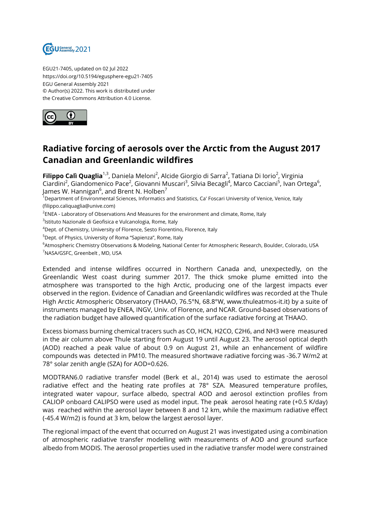

EGU21-7405, updated on 02 Jul 2022 https://doi.org/10.5194/egusphere-egu21-7405 EGU General Assembly 2021 © Author(s) 2022. This work is distributed under the Creative Commons Attribution 4.0 License.



## **Radiative forcing of aerosols over the Arctic from the August 2017 Canadian and Greenlandic wildfires**

**Filippo Calì Quaglia**<sup>1,3</sup>, Daniela Meloni<sup>2</sup>, Alcide Giorgio di Sarra<sup>2</sup>, Tatiana Di Iorio<sup>2</sup>, Virginia Ciardini<sup>2</sup>, Giandomenico Pace<sup>2</sup>, Giovanni Muscari<sup>3</sup>, Silvia Becagli<sup>4</sup>, Marco Cacciani<sup>5</sup>, Ivan Ortega<sup>6</sup>, James W. Hannigan $^6$ , and Brent N. Holben $^7$ 

 $^{\rm 1}$ Department of Environmental Sciences, Informatics and Statistics, Ca' Foscari University of Venice, Venice, Italy (filippo.caliquaglia@unive.com)

 $^2$ ENEA - Laboratory of Observations And Measures for the environment and climate, Rome, Italy

<sup>3</sup>lstituto Nazionale di Geofisica e Vulcanologia, Rome, Italy

<sup>4</sup>Dept. of Chemistry, University of Florence, Sesto Fiorentino, Florence, Italy

<sup>5</sup>Dept. of Physics, University of Roma "Sapienza", Rome, Italy

<sup>6</sup>Atmospheric Chemistry Observations & Modeling, National Center for Atmospheric Research, Boulder, Colorado, USA <sup>7</sup>NASA/GSFC, Greenbelt , MD, USA

Extended and intense wildfires occurred in Northern Canada and, unexpectedly, on the Greenlandic West coast during summer 2017. The thick smoke plume emitted into the atmosphere was transported to the high Arctic, producing one of the largest impacts ever observed in the region. Evidence of Canadian and Greenlandic wildfires was recorded at the Thule High Arctic Atmospheric Observatory (THAAO, 76.5°N, 68.8°W, www.thuleatmos-it.it) by a suite of instruments managed by ENEA, INGV, Univ. of Florence, and NCAR. Ground-based observations of the radiation budget have allowed quantification of the surface radiative forcing at THAAO.

Excess biomass burning chemical tracers such as CO, HCN, H2CO, C2H6, and NH3 were measured in the air column above Thule starting from August 19 until August 23. The aerosol optical depth (AOD) reached a peak value of about 0.9 on August 21, while an enhancement of wildfire compounds was detected in PM10. The measured shortwave radiative forcing was -36.7 W/m2 at 78° solar zenith angle (SZA) for AOD=0.626.

MODTRAN6.0 radiative transfer model (Berk et al., 2014) was used to estimate the aerosol radiative effect and the heating rate profiles at 78° SZA. Measured temperature profiles, integrated water vapour, surface albedo, spectral AOD and aerosol extinction profiles from CALIOP onboard CALIPSO were used as model input. The peak aerosol heating rate (+0.5 K/day) was reached within the aerosol layer between 8 and 12 km, while the maximum radiative effect (-45.4 W/m2) is found at 3 km, below the largest aerosol layer.

The regional impact of the event that occurred on August 21 was investigated using a combination of atmospheric radiative transfer modelling with measurements of AOD and ground surface albedo from MODIS. The aerosol properties used in the radiative transfer model were constrained